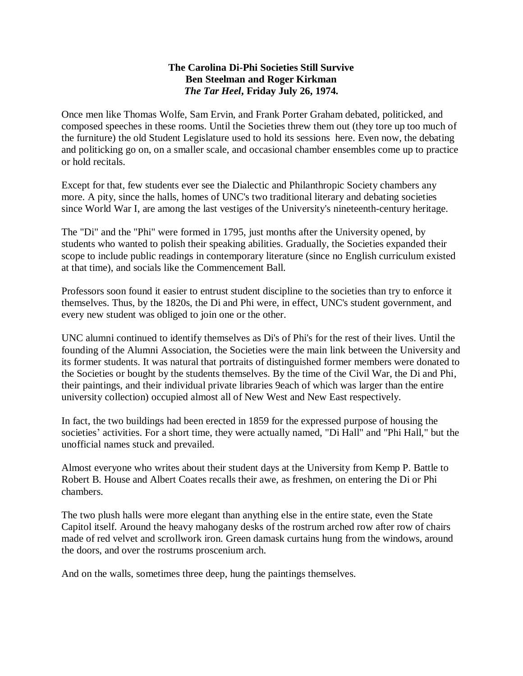## **The Carolina Di-Phi Societies Still Survive Ben Steelman and Roger Kirkman** *The Tar Heel***, Friday July 26, 1974.**

Once men like Thomas Wolfe, Sam Ervin, and Frank Porter Graham debated, politicked, and composed speeches in these rooms. Until the Societies threw them out (they tore up too much of the furniture) the old Student Legislature used to hold its sessions here. Even now, the debating and politicking go on, on a smaller scale, and occasional chamber ensembles come up to practice or hold recitals.

Except for that, few students ever see the Dialectic and Philanthropic Society chambers any more. A pity, since the halls, homes of UNC's two traditional literary and debating societies since World War I, are among the last vestiges of the University's nineteenth-century heritage.

The "Di" and the "Phi" were formed in 1795, just months after the University opened, by students who wanted to polish their speaking abilities. Gradually, the Societies expanded their scope to include public readings in contemporary literature (since no English curriculum existed at that time), and socials like the Commencement Ball.

Professors soon found it easier to entrust student discipline to the societies than try to enforce it themselves. Thus, by the 1820s, the Di and Phi were, in effect, UNC's student government, and every new student was obliged to join one or the other.

UNC alumni continued to identify themselves as Di's of Phi's for the rest of their lives. Until the founding of the Alumni Association, the Societies were the main link between the University and its former students. It was natural that portraits of distinguished former members were donated to the Societies or bought by the students themselves. By the time of the Civil War, the Di and Phi, their paintings, and their individual private libraries 9each of which was larger than the entire university collection) occupied almost all of New West and New East respectively.

In fact, the two buildings had been erected in 1859 for the expressed purpose of housing the societies' activities. For a short time, they were actually named, "Di Hall" and "Phi Hall," but the unofficial names stuck and prevailed.

Almost everyone who writes about their student days at the University from Kemp P. Battle to Robert B. House and Albert Coates recalls their awe, as freshmen, on entering the Di or Phi chambers.

The two plush halls were more elegant than anything else in the entire state, even the State Capitol itself. Around the heavy mahogany desks of the rostrum arched row after row of chairs made of red velvet and scrollwork iron. Green damask curtains hung from the windows, around the doors, and over the rostrums proscenium arch.

And on the walls, sometimes three deep, hung the paintings themselves.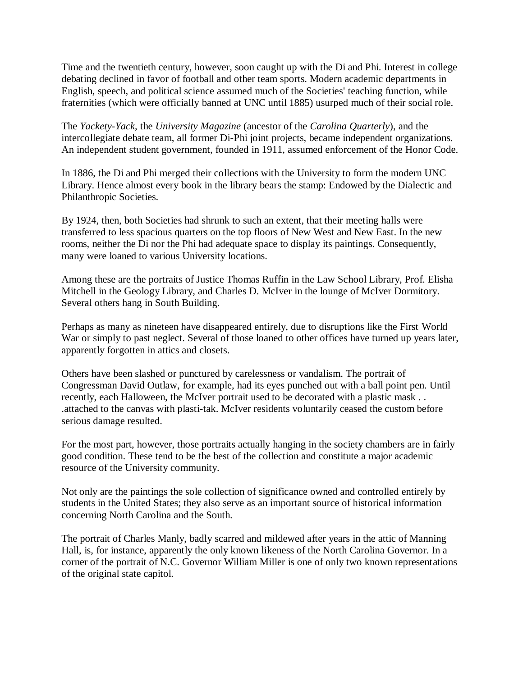Time and the twentieth century, however, soon caught up with the Di and Phi. Interest in college debating declined in favor of football and other team sports. Modern academic departments in English, speech, and political science assumed much of the Societies' teaching function, while fraternities (which were officially banned at UNC until 1885) usurped much of their social role.

The *Yackety-Yack*, the *University Magazine* (ancestor of the *Carolina Quarterly*), and the intercollegiate debate team, all former Di-Phi joint projects, became independent organizations. An independent student government, founded in 1911, assumed enforcement of the Honor Code.

In 1886, the Di and Phi merged their collections with the University to form the modern UNC Library. Hence almost every book in the library bears the stamp: Endowed by the Dialectic and Philanthropic Societies.

By 1924, then, both Societies had shrunk to such an extent, that their meeting halls were transferred to less spacious quarters on the top floors of New West and New East. In the new rooms, neither the Di nor the Phi had adequate space to display its paintings. Consequently, many were loaned to various University locations.

Among these are the portraits of Justice Thomas Ruffin in the Law School Library, Prof. Elisha Mitchell in the Geology Library, and Charles D. McIver in the lounge of McIver Dormitory. Several others hang in South Building.

Perhaps as many as nineteen have disappeared entirely, due to disruptions like the First World War or simply to past neglect. Several of those loaned to other offices have turned up years later, apparently forgotten in attics and closets.

Others have been slashed or punctured by carelessness or vandalism. The portrait of Congressman David Outlaw, for example, had its eyes punched out with a ball point pen. Until recently, each Halloween, the McIver portrait used to be decorated with a plastic mask . . .attached to the canvas with plasti-tak. McIver residents voluntarily ceased the custom before serious damage resulted.

For the most part, however, those portraits actually hanging in the society chambers are in fairly good condition. These tend to be the best of the collection and constitute a major academic resource of the University community.

Not only are the paintings the sole collection of significance owned and controlled entirely by students in the United States; they also serve as an important source of historical information concerning North Carolina and the South.

The portrait of Charles Manly, badly scarred and mildewed after years in the attic of Manning Hall, is, for instance, apparently the only known likeness of the North Carolina Governor. In a corner of the portrait of N.C. Governor William Miller is one of only two known representations of the original state capitol.